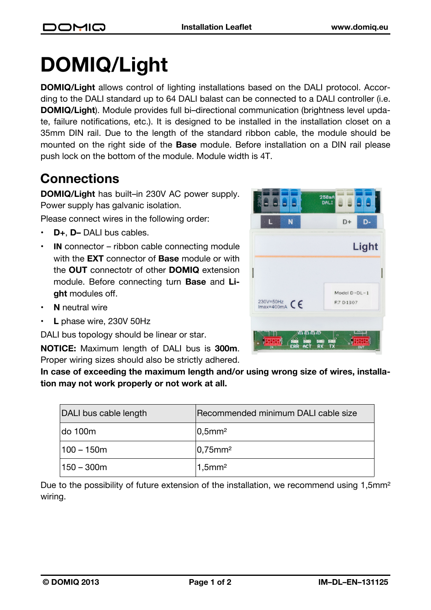## **DOMIQ/Light**

**DOMIQ/Light** allows control of lighting installations based on the DALI protocol. According to the DALI standard up to 64 DALI balast can be connected to a DALI controller (i.e. **DOMIQ/Light**). Module provides full bi–directional communication (brightness level update, failure notifications, etc.). It is designed to be installed in the installation closet on a 35mm DIN rail. Due to the length of the standard ribbon cable, the module should be mounted on the right side of the **Base** module. Before installation on a DIN rail please push lock on the bottom of the module. Module width is 4T.

## **Connections**

**DOMIQ/Light** has built–in 230V AC power supply. Power supply has galvanic isolation.

Please connect wires in the following order:

- **D+**, **D–** DALI bus cables.
- **IN** connector ribbon cable connecting module with the **EXT** connector of **Base** module or with the **OUT** connectotr of other **DOMIQ** extension module. Before connecting turn **Base** and **Light** modules off.
- **N** neutral wire
- **L** phase wire, 230V 50Hz

DALI bus topology should be linear or star.

**NOTICE:** Maximum length of DALI bus is **300m**. Proper wiring sizes should also be strictly adhered.

**In case of exceeding the maximum length and/or using wrong size of wires, installation may not work properly or not work at all.**

| DALI bus cable length | Recommended minimum DALI cable size |
|-----------------------|-------------------------------------|
| do 100m               | $ 0,5$ mm <sup>2</sup>              |
| $100 - 150m$          | $ 0,75$ mm <sup>2</sup>             |
| $150 - 300m$          | $1,5$ mm <sup>2</sup>               |

Due to the possibility of future extension of the installation, we recommend using 1,5mm<sup>2</sup> wiring.

| N | D-<br>$D+$   |
|---|--------------|
|   | Light        |
|   |              |
|   | Model D-DL-1 |